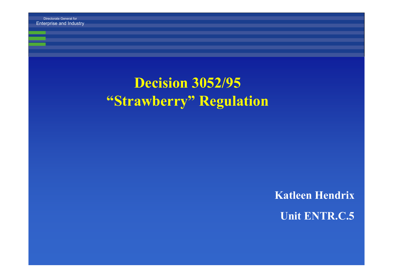Enterprise and Industry

## **Decision 3052/95 "Strawberry" Regulation**

**Katleen Hendrix Unit ENTR.C.5**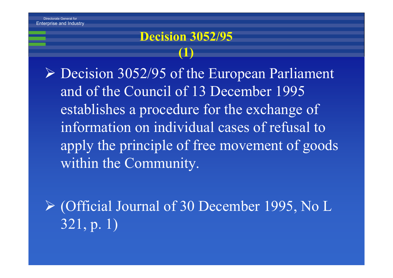#### **Decision 3052/95 (1)**

¾ Decision 3052/95 of the European Parliament and of the Council of 13 December 1995 establishes a procedure for the exchange of information on individual cases of refusal to apply the principle of free movement of goods within the Community.

¾ (Official Journal of 30 December 1995, No L 321, p. 1)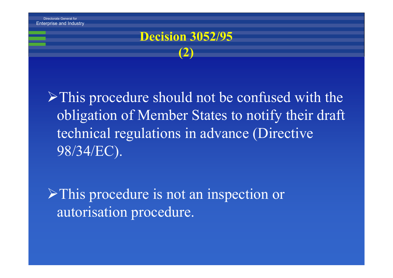#### **Decision 3052/95 (2)**

¾This procedure should not be confused with the obligation of Member States to notify their draft technical regulations in advance (Directive 98/34/EC).

¾This procedure is not an inspection or autorisation procedure.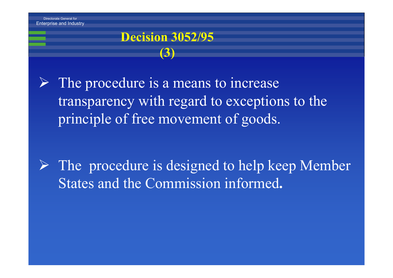#### **Decision 3052/95 (3)**

¾ The procedure is a means to increase transparency with regard to exceptions to the principle of free movement of goods.

¾ The procedure is designed to help keep Member States and the Commission informed**.**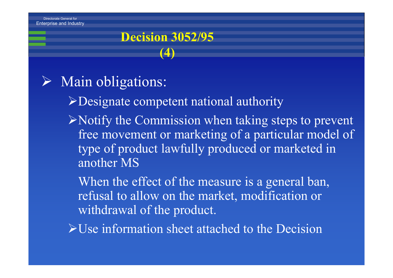#### **Decision 3052/95 (4)**

#### ¾ Main obligations:

- ¾Designate competent national authority
- $\triangleright$  Notify the Commission when taking steps to prevent free movement or marketing of a particular model of type of product lawfully produced or marketed in another MS

When the effect of the measure is a general ban, refusal to allow on the market, modification or withdrawal of the product.

¾Use information sheet attached to the Decision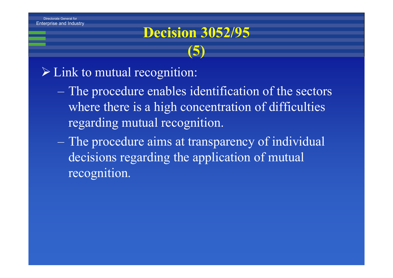## **Decision 3052/95 (5)**

#### $\triangleright$  Link to mutual recognition:

- The procedure enables identification of the sectors where there is a high concentration of difficulties regarding mutual recognition.
- The procedure aims at transparency of individual decisions regarding the application of mutual recognition.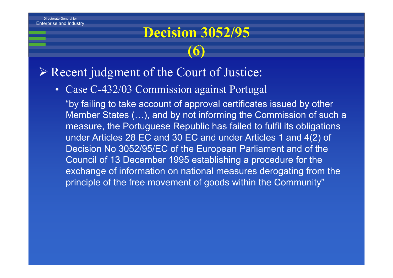# **Decision 3052/95 (6)**

- ¾ Recent judgment of the Court of Justice:
	- $\bullet$ Case C-432/03 Commission against Portugal

"by failing to take account of approval certificates issued by other Member States (…), and by not informing the Commission of such a measure, the Portuguese Republic has failed to fulfil its obligations under Articles 28 EC and 30 EC and under Articles 1 and 4(2) of Decision No 3052/95/EC of the European Parliament and of the Council of 13 December 1995 establishing a procedure for the exchange of information on national measures derogating from the principle of the free movement of goods within the Community"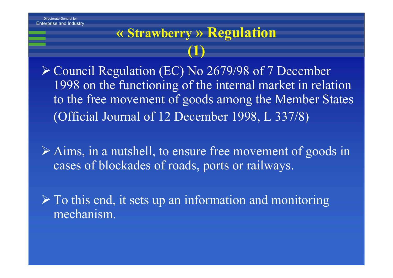## **« Strawberry » Regulation (1)**

¾ Council Regulation (EC) No 2679/98 of 7 December 1998 on the functioning of the internal market in relation to the free movement of goods among the Member States (Official Journal of 12 December 1998, L 337/8)

¾ Aims, in a nutshell, to ensure free movement of goods in cases of blockades of roads, ports or railways.

 $\triangleright$  To this end, it sets up an information and monitoring mechanism.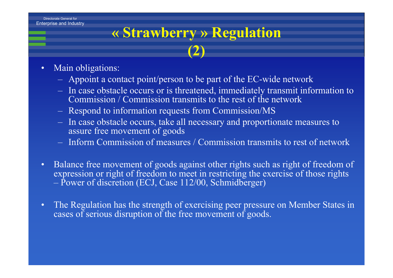# **« Strawberry » Regulation (2)**

- • Main obligations:
	- Appoint a contact point/person to be part of the EC-wide network
	- In case obstacle occurs or is threatened, immediately transmit information to Commission / Commission transmits to the rest of the network
	- Respond to information requests from Commission/MS
	- In case obstacle occurs, take all necessary and proportionate measures to assure free movement of goods
	- Inform Commission of measures / Commission transmits to rest of network
- $\bullet$  Balance free movement of goods against other rights such as right of freedom of expression or right of freedom to meet in restricting the exercise of those rights Power of discretion (ECJ, Case 112/00, Schmidberger)
- $\bullet$  The Regulation has the strength of exercising peer pressure on Member States in cases of serious disruption of the free movement of goods.